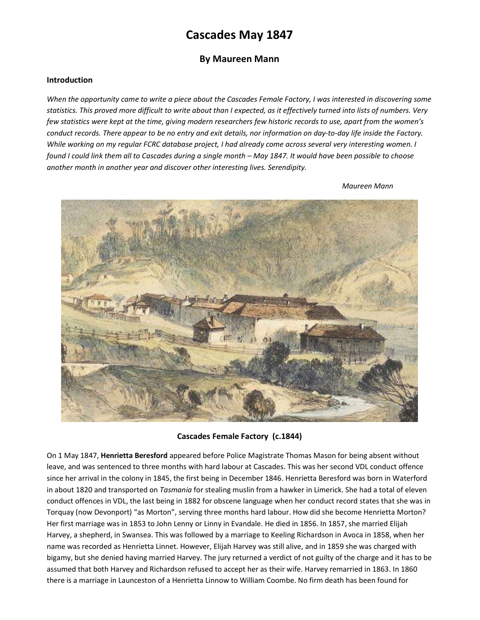# Cascades May 1847

## By Maureen Mann

## Introduction

When the opportunity came to write a piece about the Cascades Female Factory, I was interested in discovering some statistics. This proved more difficult to write about than I expected, as it effectively turned into lists of numbers. Very few statistics were kept at the time, giving modern researchers few historic records to use, apart from the women's conduct records. There appear to be no entry and exit details, nor information on day-to-day life inside the Factory. While working on my regular FCRC database project, I had already come across several very interesting women. I found I could link them all to Cascades during a single month – May 1847. It would have been possible to choose another month in another year and discover other interesting lives. Serendipity.

Maureen Mann



Cascades Female Factory (c.1844)

On 1 May 1847, Henrietta Beresford appeared before Police Magistrate Thomas Mason for being absent without leave, and was sentenced to three months with hard labour at Cascades. This was her second VDL conduct offence since her arrival in the colony in 1845, the first being in December 1846. Henrietta Beresford was born in Waterford in about 1820 and transported on Tasmania for stealing muslin from a hawker in Limerick. She had a total of eleven conduct offences in VDL, the last being in 1882 for obscene language when her conduct record states that she was in Torquay (now Devonport) "as Morton", serving three months hard labour. How did she become Henrietta Morton? Her first marriage was in 1853 to John Lenny or Linny in Evandale. He died in 1856. In 1857, she married Elijah Harvey, a shepherd, in Swansea. This was followed by a marriage to Keeling Richardson in Avoca in 1858, when her name was recorded as Henrietta Linnet. However, Elijah Harvey was still alive, and in 1859 she was charged with bigamy, but she denied having married Harvey. The jury returned a verdict of not guilty of the charge and it has to be assumed that both Harvey and Richardson refused to accept her as their wife. Harvey remarried in 1863. In 1860 there is a marriage in Launceston of a Henrietta Linnow to William Coombe. No firm death has been found for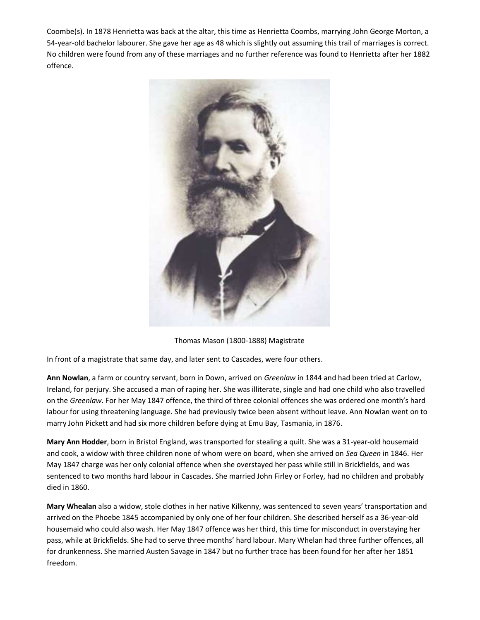Coombe(s). In 1878 Henrietta was back at the altar, this time as Henrietta Coombs, marrying John George Morton, a 54-year-old bachelor labourer. She gave her age as 48 which is slightly out assuming this trail of marriages is correct. No children were found from any of these marriages and no further reference was found to Henrietta after her 1882 offence.



Thomas Mason (1800-1888) Magistrate

In front of a magistrate that same day, and later sent to Cascades, were four others.

Ann Nowlan, a farm or country servant, born in Down, arrived on Greenlaw in 1844 and had been tried at Carlow, Ireland, for perjury. She accused a man of raping her. She was illiterate, single and had one child who also travelled on the Greenlaw. For her May 1847 offence, the third of three colonial offences she was ordered one month's hard labour for using threatening language. She had previously twice been absent without leave. Ann Nowlan went on to marry John Pickett and had six more children before dying at Emu Bay, Tasmania, in 1876.

Mary Ann Hodder, born in Bristol England, was transported for stealing a quilt. She was a 31-year-old housemaid and cook, a widow with three children none of whom were on board, when she arrived on Sea Queen in 1846. Her May 1847 charge was her only colonial offence when she overstayed her pass while still in Brickfields, and was sentenced to two months hard labour in Cascades. She married John Firley or Forley, had no children and probably died in 1860.

Mary Whealan also a widow, stole clothes in her native Kilkenny, was sentenced to seven years' transportation and arrived on the Phoebe 1845 accompanied by only one of her four children. She described herself as a 36-year-old housemaid who could also wash. Her May 1847 offence was her third, this time for misconduct in overstaying her pass, while at Brickfields. She had to serve three months' hard labour. Mary Whelan had three further offences, all for drunkenness. She married Austen Savage in 1847 but no further trace has been found for her after her 1851 freedom.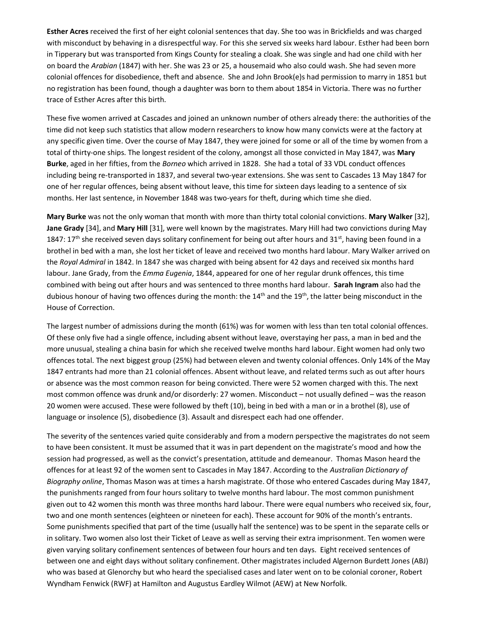Esther Acres received the first of her eight colonial sentences that day. She too was in Brickfields and was charged with misconduct by behaving in a disrespectful way. For this she served six weeks hard labour. Esther had been born in Tipperary but was transported from Kings County for stealing a cloak. She was single and had one child with her on board the Arabian (1847) with her. She was 23 or 25, a housemaid who also could wash. She had seven more colonial offences for disobedience, theft and absence. She and John Brook(e)s had permission to marry in 1851 but no registration has been found, though a daughter was born to them about 1854 in Victoria. There was no further trace of Esther Acres after this birth.

These five women arrived at Cascades and joined an unknown number of others already there: the authorities of the time did not keep such statistics that allow modern researchers to know how many convicts were at the factory at any specific given time. Over the course of May 1847, they were joined for some or all of the time by women from a total of thirty-one ships. The longest resident of the colony, amongst all those convicted in May 1847, was Mary Burke, aged in her fifties, from the Borneo which arrived in 1828. She had a total of 33 VDL conduct offences including being re-transported in 1837, and several two-year extensions. She was sent to Cascades 13 May 1847 for one of her regular offences, being absent without leave, this time for sixteen days leading to a sentence of six months. Her last sentence, in November 1848 was two-years for theft, during which time she died.

Mary Burke was not the only woman that month with more than thirty total colonial convictions. Mary Walker [32], Jane Grady [34], and Mary Hill [31], were well known by the magistrates. Mary Hill had two convictions during May 1847: 17<sup>th</sup> she received seven days solitary confinement for being out after hours and 31<sup>st</sup>, having been found in a brothel in bed with a man, she lost her ticket of leave and received two months hard labour. Mary Walker arrived on the Royal Admiral in 1842. In 1847 she was charged with being absent for 42 days and received six months hard labour. Jane Grady, from the *Emma Eugenia*, 1844, appeared for one of her regular drunk offences, this time combined with being out after hours and was sentenced to three months hard labour. Sarah Ingram also had the dubious honour of having two offences during the month: the  $14<sup>th</sup>$  and the  $19<sup>th</sup>$ , the latter being misconduct in the House of Correction.

The largest number of admissions during the month (61%) was for women with less than ten total colonial offences. Of these only five had a single offence, including absent without leave, overstaying her pass, a man in bed and the more unusual, stealing a china basin for which she received twelve months hard labour. Eight women had only two offences total. The next biggest group (25%) had between eleven and twenty colonial offences. Only 14% of the May 1847 entrants had more than 21 colonial offences. Absent without leave, and related terms such as out after hours or absence was the most common reason for being convicted. There were 52 women charged with this. The next most common offence was drunk and/or disorderly: 27 women. Misconduct – not usually defined – was the reason 20 women were accused. These were followed by theft (10), being in bed with a man or in a brothel (8), use of language or insolence (5), disobedience (3). Assault and disrespect each had one offender.

The severity of the sentences varied quite considerably and from a modern perspective the magistrates do not seem to have been consistent. It must be assumed that it was in part dependent on the magistrate's mood and how the session had progressed, as well as the convict's presentation, attitude and demeanour. Thomas Mason heard the offences for at least 92 of the women sent to Cascades in May 1847. According to the Australian Dictionary of Biography online, Thomas Mason was at times a harsh magistrate. Of those who entered Cascades during May 1847, the punishments ranged from four hours solitary to twelve months hard labour. The most common punishment given out to 42 women this month was three months hard labour. There were equal numbers who received six, four, two and one month sentences (eighteen or nineteen for each). These account for 90% of the month's entrants. Some punishments specified that part of the time (usually half the sentence) was to be spent in the separate cells or in solitary. Two women also lost their Ticket of Leave as well as serving their extra imprisonment. Ten women were given varying solitary confinement sentences of between four hours and ten days. Eight received sentences of between one and eight days without solitary confinement. Other magistrates included Algernon Burdett Jones (ABJ) who was based at Glenorchy but who heard the specialised cases and later went on to be colonial coroner, Robert Wyndham Fenwick (RWF) at Hamilton and Augustus Eardley Wilmot (AEW) at New Norfolk.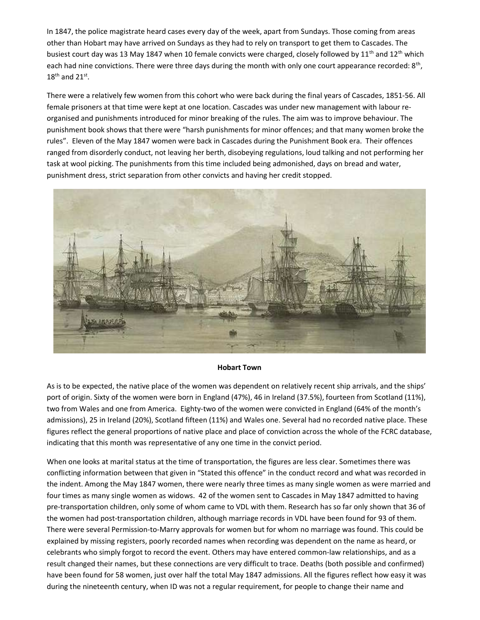In 1847, the police magistrate heard cases every day of the week, apart from Sundays. Those coming from areas other than Hobart may have arrived on Sundays as they had to rely on transport to get them to Cascades. The busiest court day was 13 May 1847 when 10 female convicts were charged, closely followed by 11<sup>th</sup> and 12<sup>th</sup> which each had nine convictions. There were three days during the month with only one court appearance recorded: 8<sup>th</sup>,  $18^{\text{th}}$  and  $21^{\text{st}}$ .

There were a relatively few women from this cohort who were back during the final years of Cascades, 1851-56. All female prisoners at that time were kept at one location. Cascades was under new management with labour reorganised and punishments introduced for minor breaking of the rules. The aim was to improve behaviour. The punishment book shows that there were "harsh punishments for minor offences; and that many women broke the rules". Eleven of the May 1847 women were back in Cascades during the Punishment Book era. Their offences ranged from disorderly conduct, not leaving her berth, disobeying regulations, loud talking and not performing her task at wool picking. The punishments from this time included being admonished, days on bread and water, punishment dress, strict separation from other convicts and having her credit stopped.



#### Hobart Town

As is to be expected, the native place of the women was dependent on relatively recent ship arrivals, and the ships' port of origin. Sixty of the women were born in England (47%), 46 in Ireland (37.5%), fourteen from Scotland (11%), two from Wales and one from America. Eighty-two of the women were convicted in England (64% of the month's admissions), 25 in Ireland (20%), Scotland fifteen (11%) and Wales one. Several had no recorded native place. These figures reflect the general proportions of native place and place of conviction across the whole of the FCRC database, indicating that this month was representative of any one time in the convict period.

When one looks at marital status at the time of transportation, the figures are less clear. Sometimes there was conflicting information between that given in "Stated this offence" in the conduct record and what was recorded in the indent. Among the May 1847 women, there were nearly three times as many single women as were married and four times as many single women as widows. 42 of the women sent to Cascades in May 1847 admitted to having pre-transportation children, only some of whom came to VDL with them. Research has so far only shown that 36 of the women had post-transportation children, although marriage records in VDL have been found for 93 of them. There were several Permission-to-Marry approvals for women but for whom no marriage was found. This could be explained by missing registers, poorly recorded names when recording was dependent on the name as heard, or celebrants who simply forgot to record the event. Others may have entered common-law relationships, and as a result changed their names, but these connections are very difficult to trace. Deaths (both possible and confirmed) have been found for 58 women, just over half the total May 1847 admissions. All the figures reflect how easy it was during the nineteenth century, when ID was not a regular requirement, for people to change their name and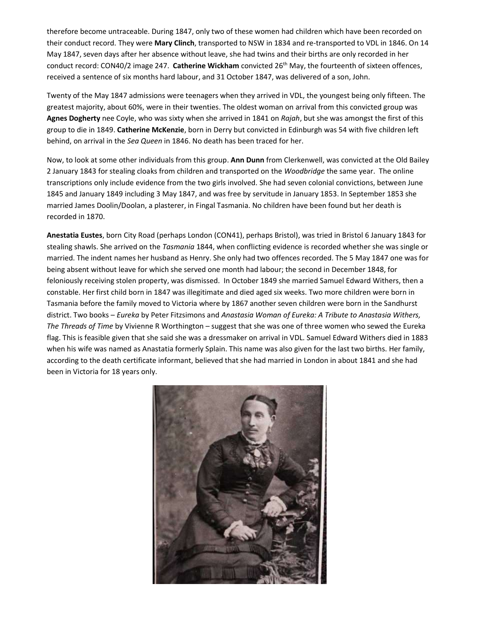therefore become untraceable. During 1847, only two of these women had children which have been recorded on their conduct record. They were Mary Clinch, transported to NSW in 1834 and re-transported to VDL in 1846. On 14 May 1847, seven days after her absence without leave, she had twins and their births are only recorded in her conduct record: CON40/2 image 247. Catherine Wickham convicted 26<sup>th</sup> May, the fourteenth of sixteen offences, received a sentence of six months hard labour, and 31 October 1847, was delivered of a son, John.

Twenty of the May 1847 admissions were teenagers when they arrived in VDL, the youngest being only fifteen. The greatest majority, about 60%, were in their twenties. The oldest woman on arrival from this convicted group was Agnes Dogherty nee Coyle, who was sixty when she arrived in 1841 on Rajah, but she was amongst the first of this group to die in 1849. Catherine McKenzie, born in Derry but convicted in Edinburgh was 54 with five children left behind, on arrival in the Sea Queen in 1846. No death has been traced for her.

Now, to look at some other individuals from this group. Ann Dunn from Clerkenwell, was convicted at the Old Bailey 2 January 1843 for stealing cloaks from children and transported on the Woodbridge the same year. The online transcriptions only include evidence from the two girls involved. She had seven colonial convictions, between June 1845 and January 1849 including 3 May 1847, and was free by servitude in January 1853. In September 1853 she married James Doolin/Doolan, a plasterer, in Fingal Tasmania. No children have been found but her death is recorded in 1870.

Anestatia Eustes, born City Road (perhaps London (CON41), perhaps Bristol), was tried in Bristol 6 January 1843 for stealing shawls. She arrived on the Tasmania 1844, when conflicting evidence is recorded whether she was single or married. The indent names her husband as Henry. She only had two offences recorded. The 5 May 1847 one was for being absent without leave for which she served one month had labour; the second in December 1848, for feloniously receiving stolen property, was dismissed. In October 1849 she married Samuel Edward Withers, then a constable. Her first child born in 1847 was illegitimate and died aged six weeks. Two more children were born in Tasmania before the family moved to Victoria where by 1867 another seven children were born in the Sandhurst district. Two books – Eureka by Peter Fitzsimons and Anastasia Woman of Eureka: A Tribute to Anastasia Withers, The Threads of Time by Vivienne R Worthington – suggest that she was one of three women who sewed the Eureka flag. This is feasible given that she said she was a dressmaker on arrival in VDL. Samuel Edward Withers died in 1883 when his wife was named as Anastatia formerly Splain. This name was also given for the last two births. Her family, according to the death certificate informant, believed that she had married in London in about 1841 and she had been in Victoria for 18 years only.

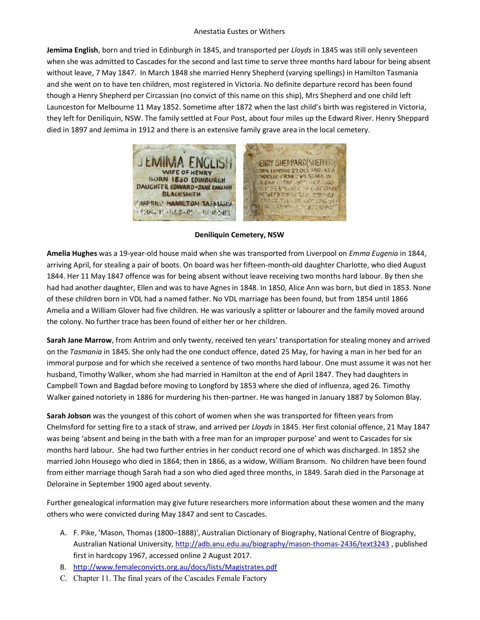### Anestatia Eustes or Withers

Jemima English, born and tried in Edinburgh in 1845, and transported per Lloyds in 1845 was still only seventeen when she was admitted to Cascades for the second and last time to serve three months hard labour for being absent without leave, 7 May 1847. In March 1848 she married Henry Shepherd (varying spellings) in Hamilton Tasmania and she went on to have ten children, most registered in Victoria. No definite departure record has been found though a Henry Shepherd per Circassian (no convict of this name on this ship), Mrs Shepherd and one child left Launceston for Melbourne 11 May 1852. Sometime after 1872 when the last child's birth was registered in Victoria, they left for Deniliquin, NSW. The family settled at Four Post, about four miles up the Edward River. Henry Sheppard died in 1897 and Jemima in 1912 and there is an extensive family grave area in the local cemetery.



Deniliquin Cemetery, NSW

Amelia Hughes was a 19-year-old house maid when she was transported from Liverpool on Emma Eugenia in 1844, arriving April, for stealing a pair of boots. On board was her fifteen-month-old daughter Charlotte, who died August 1844. Her 11 May 1847 offence was for being absent without leave receiving two months hard labour. By then she had had another daughter, Ellen and was to have Agnes in 1848. In 1850, Alice Ann was born, but died in 1853. None of these children born in VDL had a named father. No VDL marriage has been found, but from 1854 until 1866 Amelia and a William Glover had five children. He was variously a splitter or labourer and the family moved around the colony. No further trace has been found of either her or her children.

Sarah Jane Marrow, from Antrim and only twenty, received ten years' transportation for stealing money and arrived on the Tasmania in 1845. She only had the one conduct offence, dated 25 May, for having a man in her bed for an immoral purpose and for which she received a sentence of two months hard labour. One must assume it was not her husband, Timothy Walker, whom she had married in Hamilton at the end of April 1847. They had daughters in Campbell Town and Bagdad before moving to Longford by 1853 where she died of influenza, aged 26. Timothy Walker gained notoriety in 1886 for murdering his then-partner. He was hanged in January 1887 by Solomon Blay.

Sarah Jobson was the youngest of this cohort of women when she was transported for fifteen years from Chelmsford for setting fire to a stack of straw, and arrived per Lloyds in 1845. Her first colonial offence, 21 May 1847 was being 'absent and being in the bath with a free man for an improper purpose' and went to Cascades for six months hard labour. She had two further entries in her conduct record one of which was discharged. In 1852 she married John Housego who died in 1864; then in 1866, as a widow, William Bransom. No children have been found from either marriage though Sarah had a son who died aged three months, in 1849. Sarah died in the Parsonage at Deloraine in September 1900 aged about seventy.

Further genealogical information may give future researchers more information about these women and the many others who were convicted during May 1847 and sent to Cascades.

- A. F. Pike, 'Mason, Thomas (1800–1888)', Australian Dictionary of Biography, National Centre of Biography, Australian National University, http://adb.anu.edu.au/biography/mason-thomas-2436/text3243 , published first in hardcopy 1967, accessed online 2 August 2017.
- B. http://www.femaleconvicts.org.au/docs/lists/Magistrates.pdf
- C. Chapter 11. The final years of the Cascades Female Factory